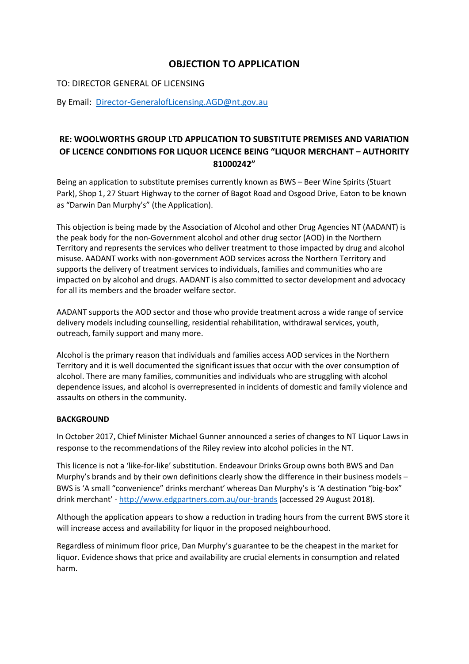# **OBJECTION TO APPLICATION**

### TO: DIRECTOR GENERAL OF LICENSING

By Email: [Director-GeneralofLicensing.AGD@nt.gov.au](mailto:Director-GeneralofLicensing.AGD@nt.gov.au)

## **RE: WOOLWORTHS GROUP LTD APPLICATION TO SUBSTITUTE PREMISES AND VARIATION OF LICENCE CONDITIONS FOR LIQUOR LICENCE BEING "LIQUOR MERCHANT – AUTHORITY 81000242"**

Being an application to substitute premises currently known as BWS – Beer Wine Spirits (Stuart Park), Shop 1, 27 Stuart Highway to the corner of Bagot Road and Osgood Drive, Eaton to be known as "Darwin Dan Murphy's" (the Application).

This objection is being made by the Association of Alcohol and other Drug Agencies NT (AADANT) is the peak body for the non-Government alcohol and other drug sector (AOD) in the Northern Territory and represents the services who deliver treatment to those impacted by drug and alcohol misuse. AADANT works with non-government AOD services across the Northern Territory and supports the delivery of treatment services to individuals, families and communities who are impacted on by alcohol and drugs. AADANT is also committed to sector development and advocacy for all its members and the broader welfare sector.

AADANT supports the AOD sector and those who provide treatment across a wide range of service delivery models including counselling, residential rehabilitation, withdrawal services, youth, outreach, family support and many more.

Alcohol is the primary reason that individuals and families access AOD services in the Northern Territory and it is well documented the significant issues that occur with the over consumption of alcohol. There are many families, communities and individuals who are struggling with alcohol dependence issues, and alcohol is overrepresented in incidents of domestic and family violence and assaults on others in the community.

#### **BACKGROUND**

In October 2017, Chief Minister Michael Gunner announced a series of changes to NT Liquor Laws in response to the recommendations of the Riley review into alcohol policies in the NT.

This licence is not a 'like-for-like' substitution. Endeavour Drinks Group owns both BWS and Dan Murphy's brands and by their own definitions clearly show the difference in their business models – BWS is 'A small "convenience" drinks merchant' whereas Dan Murphy's is 'A destination "big-box" drink merchant' - <http://www.edgpartners.com.au/our-brands> (accessed 29 August 2018).

Although the application appears to show a reduction in trading hours from the current BWS store it will increase access and availability for liquor in the proposed neighbourhood.

Regardless of minimum floor price, Dan Murphy's guarantee to be the cheapest in the market for liquor. Evidence shows that price and availability are crucial elements in consumption and related harm.